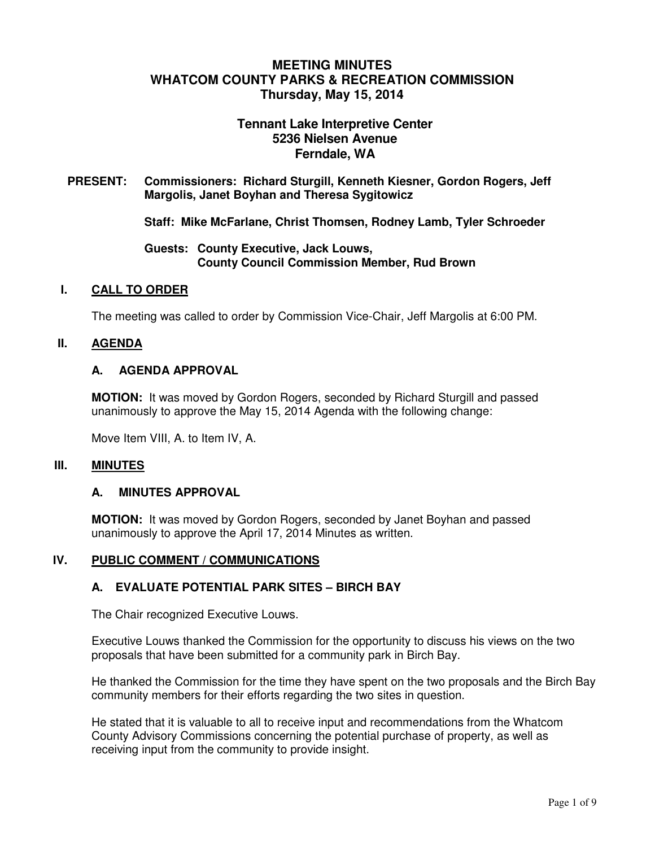# **MEETING MINUTES WHATCOM COUNTY PARKS & RECREATION COMMISSION Thursday, May 15, 2014**

# **Tennant Lake Interpretive Center 5236 Nielsen Avenue Ferndale, WA**

**PRESENT: Commissioners: Richard Sturgill, Kenneth Kiesner, Gordon Rogers, Jeff Margolis, Janet Boyhan and Theresa Sygitowicz** 

**Staff: Mike McFarlane, Christ Thomsen, Rodney Lamb, Tyler Schroeder** 

**Guests: County Executive, Jack Louws, County Council Commission Member, Rud Brown** 

#### **I. CALL TO ORDER**

The meeting was called to order by Commission Vice-Chair, Jeff Margolis at 6:00 PM.

### **II. AGENDA**

#### **A. AGENDA APPROVAL**

**MOTION:** It was moved by Gordon Rogers, seconded by Richard Sturgill and passed unanimously to approve the May 15, 2014 Agenda with the following change:

Move Item VIII, A. to Item IV, A.

#### **III. MINUTES**

#### **A. MINUTES APPROVAL**

**MOTION:** It was moved by Gordon Rogers, seconded by Janet Boyhan and passed unanimously to approve the April 17, 2014 Minutes as written.

#### **IV. PUBLIC COMMENT / COMMUNICATIONS**

### **A. EVALUATE POTENTIAL PARK SITES – BIRCH BAY**

The Chair recognized Executive Louws.

Executive Louws thanked the Commission for the opportunity to discuss his views on the two proposals that have been submitted for a community park in Birch Bay.

He thanked the Commission for the time they have spent on the two proposals and the Birch Bay community members for their efforts regarding the two sites in question.

He stated that it is valuable to all to receive input and recommendations from the Whatcom County Advisory Commissions concerning the potential purchase of property, as well as receiving input from the community to provide insight.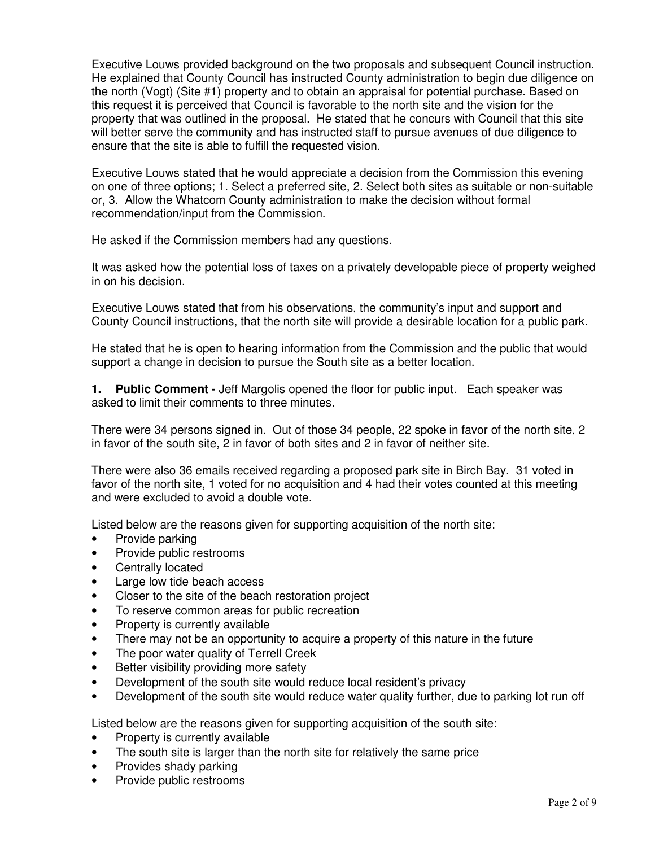Executive Louws provided background on the two proposals and subsequent Council instruction. He explained that County Council has instructed County administration to begin due diligence on the north (Vogt) (Site #1) property and to obtain an appraisal for potential purchase. Based on this request it is perceived that Council is favorable to the north site and the vision for the property that was outlined in the proposal. He stated that he concurs with Council that this site will better serve the community and has instructed staff to pursue avenues of due diligence to ensure that the site is able to fulfill the requested vision.

Executive Louws stated that he would appreciate a decision from the Commission this evening on one of three options; 1. Select a preferred site, 2. Select both sites as suitable or non-suitable or, 3. Allow the Whatcom County administration to make the decision without formal recommendation/input from the Commission.

He asked if the Commission members had any questions.

It was asked how the potential loss of taxes on a privately developable piece of property weighed in on his decision.

Executive Louws stated that from his observations, the community's input and support and County Council instructions, that the north site will provide a desirable location for a public park.

He stated that he is open to hearing information from the Commission and the public that would support a change in decision to pursue the South site as a better location.

**1. Public Comment -** Jeff Margolis opened the floor for public input. Each speaker was asked to limit their comments to three minutes.

There were 34 persons signed in. Out of those 34 people, 22 spoke in favor of the north site, 2 in favor of the south site, 2 in favor of both sites and 2 in favor of neither site.

There were also 36 emails received regarding a proposed park site in Birch Bay. 31 voted in favor of the north site, 1 voted for no acquisition and 4 had their votes counted at this meeting and were excluded to avoid a double vote.

Listed below are the reasons given for supporting acquisition of the north site:

- Provide parking
- Provide public restrooms
- Centrally located
- Large low tide beach access
- Closer to the site of the beach restoration project
- To reserve common areas for public recreation
- Property is currently available
- There may not be an opportunity to acquire a property of this nature in the future
- The poor water quality of Terrell Creek
- Better visibility providing more safety
- Development of the south site would reduce local resident's privacy
- Development of the south site would reduce water quality further, due to parking lot run off

Listed below are the reasons given for supporting acquisition of the south site:

- Property is currently available
- The south site is larger than the north site for relatively the same price
- Provides shady parking
- Provide public restrooms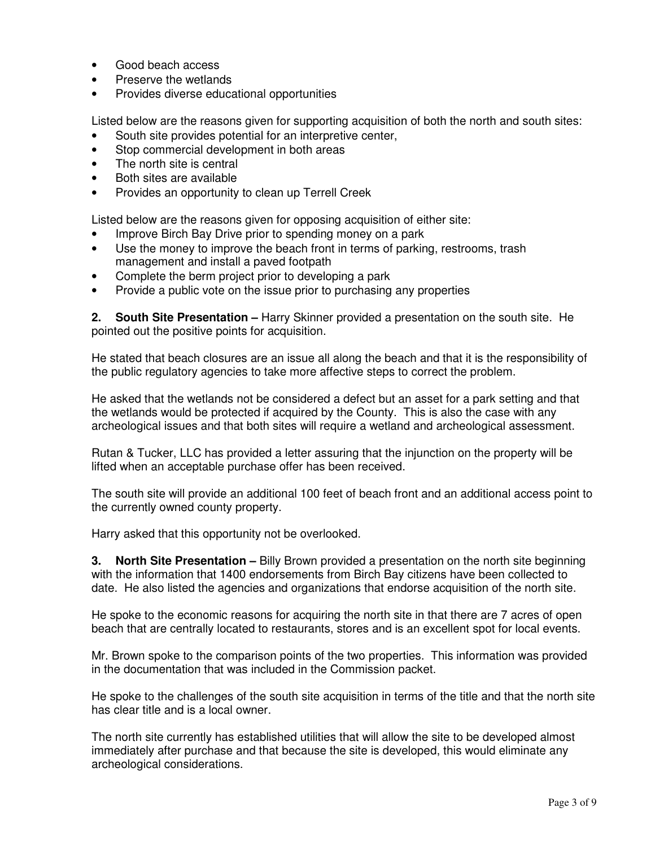- Good beach access
- Preserve the wetlands
- Provides diverse educational opportunities

Listed below are the reasons given for supporting acquisition of both the north and south sites:

- South site provides potential for an interpretive center,
- Stop commercial development in both areas
- The north site is central
- Both sites are available
- Provides an opportunity to clean up Terrell Creek

Listed below are the reasons given for opposing acquisition of either site:

- Improve Birch Bay Drive prior to spending money on a park
- Use the money to improve the beach front in terms of parking, restrooms, trash management and install a paved footpath
- Complete the berm project prior to developing a park
- Provide a public vote on the issue prior to purchasing any properties

**2. South Site Presentation –** Harry Skinner provided a presentation on the south site. He pointed out the positive points for acquisition.

He stated that beach closures are an issue all along the beach and that it is the responsibility of the public regulatory agencies to take more affective steps to correct the problem.

He asked that the wetlands not be considered a defect but an asset for a park setting and that the wetlands would be protected if acquired by the County. This is also the case with any archeological issues and that both sites will require a wetland and archeological assessment.

Rutan & Tucker, LLC has provided a letter assuring that the injunction on the property will be lifted when an acceptable purchase offer has been received.

The south site will provide an additional 100 feet of beach front and an additional access point to the currently owned county property.

Harry asked that this opportunity not be overlooked.

**3. North Site Presentation –** Billy Brown provided a presentation on the north site beginning with the information that 1400 endorsements from Birch Bay citizens have been collected to date. He also listed the agencies and organizations that endorse acquisition of the north site.

He spoke to the economic reasons for acquiring the north site in that there are 7 acres of open beach that are centrally located to restaurants, stores and is an excellent spot for local events.

Mr. Brown spoke to the comparison points of the two properties. This information was provided in the documentation that was included in the Commission packet.

He spoke to the challenges of the south site acquisition in terms of the title and that the north site has clear title and is a local owner.

The north site currently has established utilities that will allow the site to be developed almost immediately after purchase and that because the site is developed, this would eliminate any archeological considerations.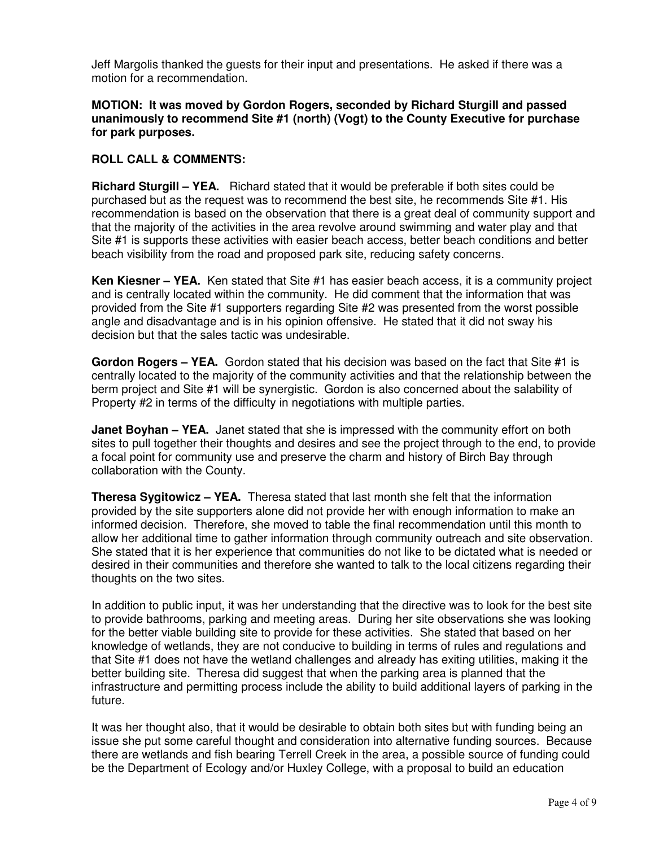Jeff Margolis thanked the guests for their input and presentations. He asked if there was a motion for a recommendation.

#### **MOTION: It was moved by Gordon Rogers, seconded by Richard Sturgill and passed unanimously to recommend Site #1 (north) (Vogt) to the County Executive for purchase for park purposes.**

### **ROLL CALL & COMMENTS:**

**Richard Sturgill – YEA.** Richard stated that it would be preferable if both sites could be purchased but as the request was to recommend the best site, he recommends Site #1. His recommendation is based on the observation that there is a great deal of community support and that the majority of the activities in the area revolve around swimming and water play and that Site #1 is supports these activities with easier beach access, better beach conditions and better beach visibility from the road and proposed park site, reducing safety concerns.

**Ken Kiesner – YEA.** Ken stated that Site #1 has easier beach access, it is a community project and is centrally located within the community. He did comment that the information that was provided from the Site #1 supporters regarding Site #2 was presented from the worst possible angle and disadvantage and is in his opinion offensive. He stated that it did not sway his decision but that the sales tactic was undesirable.

**Gordon Rogers – YEA.** Gordon stated that his decision was based on the fact that Site #1 is centrally located to the majority of the community activities and that the relationship between the berm project and Site #1 will be synergistic. Gordon is also concerned about the salability of Property #2 in terms of the difficulty in negotiations with multiple parties.

**Janet Boyhan – YEA.** Janet stated that she is impressed with the community effort on both sites to pull together their thoughts and desires and see the project through to the end, to provide a focal point for community use and preserve the charm and history of Birch Bay through collaboration with the County.

**Theresa Sygitowicz – YEA.** Theresa stated that last month she felt that the information provided by the site supporters alone did not provide her with enough information to make an informed decision. Therefore, she moved to table the final recommendation until this month to allow her additional time to gather information through community outreach and site observation. She stated that it is her experience that communities do not like to be dictated what is needed or desired in their communities and therefore she wanted to talk to the local citizens regarding their thoughts on the two sites.

In addition to public input, it was her understanding that the directive was to look for the best site to provide bathrooms, parking and meeting areas. During her site observations she was looking for the better viable building site to provide for these activities. She stated that based on her knowledge of wetlands, they are not conducive to building in terms of rules and regulations and that Site #1 does not have the wetland challenges and already has exiting utilities, making it the better building site. Theresa did suggest that when the parking area is planned that the infrastructure and permitting process include the ability to build additional layers of parking in the future.

It was her thought also, that it would be desirable to obtain both sites but with funding being an issue she put some careful thought and consideration into alternative funding sources. Because there are wetlands and fish bearing Terrell Creek in the area, a possible source of funding could be the Department of Ecology and/or Huxley College, with a proposal to build an education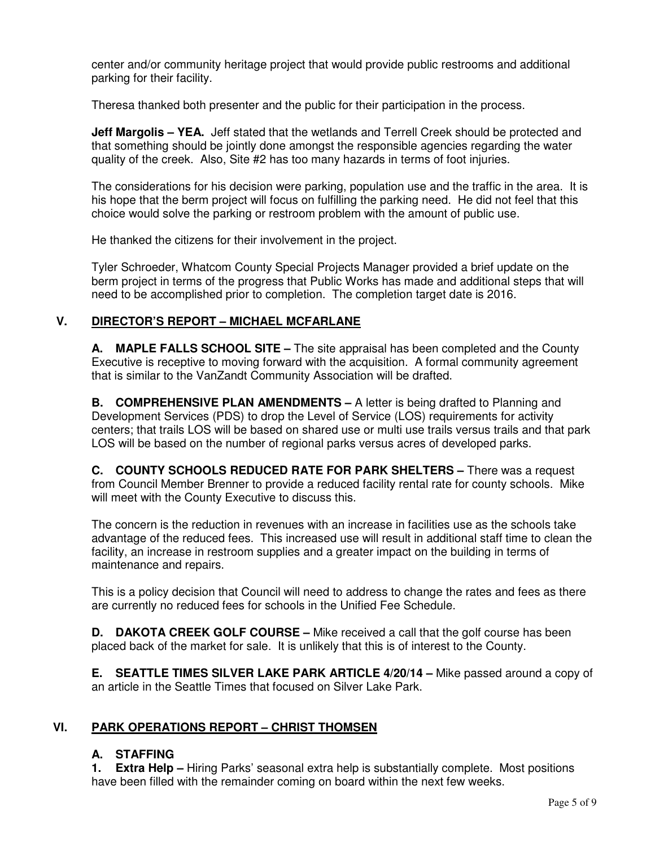center and/or community heritage project that would provide public restrooms and additional parking for their facility.

Theresa thanked both presenter and the public for their participation in the process.

**Jeff Margolis - YEA.** Jeff stated that the wetlands and Terrell Creek should be protected and that something should be jointly done amongst the responsible agencies regarding the water quality of the creek. Also, Site #2 has too many hazards in terms of foot injuries.

The considerations for his decision were parking, population use and the traffic in the area. It is his hope that the berm project will focus on fulfilling the parking need. He did not feel that this choice would solve the parking or restroom problem with the amount of public use.

He thanked the citizens for their involvement in the project.

Tyler Schroeder, Whatcom County Special Projects Manager provided a brief update on the berm project in terms of the progress that Public Works has made and additional steps that will need to be accomplished prior to completion. The completion target date is 2016.

# **V. DIRECTOR'S REPORT – MICHAEL MCFARLANE**

**A. MAPLE FALLS SCHOOL SITE –** The site appraisal has been completed and the County Executive is receptive to moving forward with the acquisition. A formal community agreement that is similar to the VanZandt Community Association will be drafted.

**B. COMPREHENSIVE PLAN AMENDMENTS –** A letter is being drafted to Planning and Development Services (PDS) to drop the Level of Service (LOS) requirements for activity centers; that trails LOS will be based on shared use or multi use trails versus trails and that park LOS will be based on the number of regional parks versus acres of developed parks.

**C. COUNTY SCHOOLS REDUCED RATE FOR PARK SHELTERS –** There was a request from Council Member Brenner to provide a reduced facility rental rate for county schools. Mike will meet with the County Executive to discuss this.

The concern is the reduction in revenues with an increase in facilities use as the schools take advantage of the reduced fees. This increased use will result in additional staff time to clean the facility, an increase in restroom supplies and a greater impact on the building in terms of maintenance and repairs.

This is a policy decision that Council will need to address to change the rates and fees as there are currently no reduced fees for schools in the Unified Fee Schedule.

**D. DAKOTA CREEK GOLF COURSE –** Mike received a call that the golf course has been placed back of the market for sale. It is unlikely that this is of interest to the County.

**E. SEATTLE TIMES SILVER LAKE PARK ARTICLE 4/20/14 –** Mike passed around a copy of an article in the Seattle Times that focused on Silver Lake Park.

# **VI. PARK OPERATIONS REPORT – CHRIST THOMSEN**

# **A. STAFFING**

**1. Extra Help –** Hiring Parks' seasonal extra help is substantially complete. Most positions have been filled with the remainder coming on board within the next few weeks.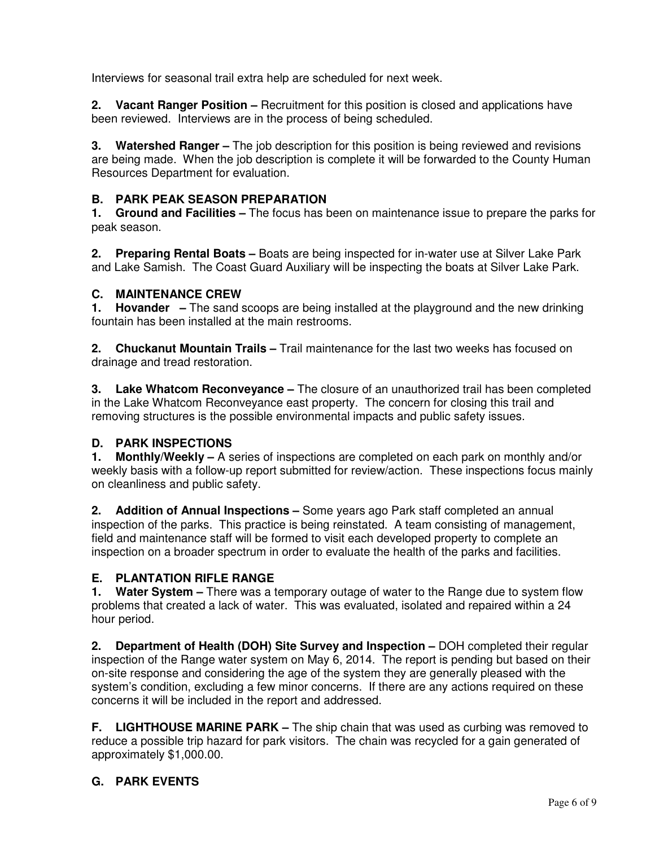Interviews for seasonal trail extra help are scheduled for next week.

**2. Vacant Ranger Position –** Recruitment for this position is closed and applications have been reviewed. Interviews are in the process of being scheduled.

**3. Watershed Ranger –** The job description for this position is being reviewed and revisions are being made. When the job description is complete it will be forwarded to the County Human Resources Department for evaluation.

# **B. PARK PEAK SEASON PREPARATION**

**1. Ground and Facilities –** The focus has been on maintenance issue to prepare the parks for peak season.

**2. Preparing Rental Boats –** Boats are being inspected for in-water use at Silver Lake Park and Lake Samish. The Coast Guard Auxiliary will be inspecting the boats at Silver Lake Park.

### **C. MAINTENANCE CREW**

**1. Hovander –** The sand scoops are being installed at the playground and the new drinking fountain has been installed at the main restrooms.

**2. Chuckanut Mountain Trails –** Trail maintenance for the last two weeks has focused on drainage and tread restoration.

**3. Lake Whatcom Reconveyance –** The closure of an unauthorized trail has been completed in the Lake Whatcom Reconveyance east property. The concern for closing this trail and removing structures is the possible environmental impacts and public safety issues.

# **D. PARK INSPECTIONS**

**1. Monthly/Weekly –** A series of inspections are completed on each park on monthly and/or weekly basis with a follow-up report submitted for review/action. These inspections focus mainly on cleanliness and public safety.

**2. Addition of Annual Inspections –** Some years ago Park staff completed an annual inspection of the parks. This practice is being reinstated. A team consisting of management, field and maintenance staff will be formed to visit each developed property to complete an inspection on a broader spectrum in order to evaluate the health of the parks and facilities.

# **E. PLANTATION RIFLE RANGE**

**1. Water System –** There was a temporary outage of water to the Range due to system flow problems that created a lack of water. This was evaluated, isolated and repaired within a 24 hour period.

**2. Department of Health (DOH) Site Survey and Inspection –** DOH completed their regular inspection of the Range water system on May 6, 2014. The report is pending but based on their on-site response and considering the age of the system they are generally pleased with the system's condition, excluding a few minor concerns. If there are any actions required on these concerns it will be included in the report and addressed.

**F. LIGHTHOUSE MARINE PARK –** The ship chain that was used as curbing was removed to reduce a possible trip hazard for park visitors. The chain was recycled for a gain generated of approximately \$1,000.00.

# **G. PARK EVENTS**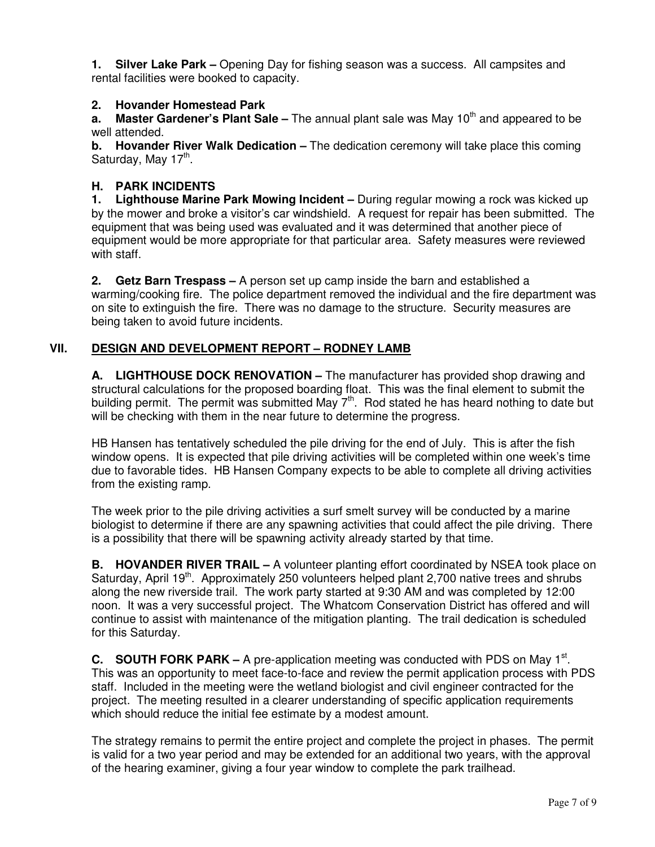**1. Silver Lake Park –** Opening Day for fishing season was a success. All campsites and rental facilities were booked to capacity.

### **2. Hovander Homestead Park**

**a.** Master Gardener's Plant Sale – The annual plant sale was May 10<sup>th</sup> and appeared to be well attended.

**b. Hovander River Walk Dedication –** The dedication ceremony will take place this coming Saturday, May 17<sup>th</sup>.

### **H. PARK INCIDENTS**

**1. Lighthouse Marine Park Mowing Incident –** During regular mowing a rock was kicked up by the mower and broke a visitor's car windshield. A request for repair has been submitted. The equipment that was being used was evaluated and it was determined that another piece of equipment would be more appropriate for that particular area. Safety measures were reviewed with staff.

**2. Getz Barn Trespass –** A person set up camp inside the barn and established a warming/cooking fire. The police department removed the individual and the fire department was on site to extinguish the fire. There was no damage to the structure. Security measures are being taken to avoid future incidents.

# **VII. DESIGN AND DEVELOPMENT REPORT – RODNEY LAMB**

**A. LIGHTHOUSE DOCK RENOVATION –** The manufacturer has provided shop drawing and structural calculations for the proposed boarding float. This was the final element to submit the building permit. The permit was submitted May  $7<sup>th</sup>$ . Rod stated he has heard nothing to date but will be checking with them in the near future to determine the progress.

HB Hansen has tentatively scheduled the pile driving for the end of July. This is after the fish window opens. It is expected that pile driving activities will be completed within one week's time due to favorable tides. HB Hansen Company expects to be able to complete all driving activities from the existing ramp.

The week prior to the pile driving activities a surf smelt survey will be conducted by a marine biologist to determine if there are any spawning activities that could affect the pile driving. There is a possibility that there will be spawning activity already started by that time.

**B. HOVANDER RIVER TRAIL –** A volunteer planting effort coordinated by NSEA took place on Saturday, April 19<sup>th</sup>. Approximately 250 volunteers helped plant 2,700 native trees and shrubs along the new riverside trail. The work party started at 9:30 AM and was completed by 12:00 noon. It was a very successful project. The Whatcom Conservation District has offered and will continue to assist with maintenance of the mitigation planting. The trail dedication is scheduled for this Saturday.

**C.** SOUTH FORK PARK – A pre-application meeting was conducted with PDS on May 1<sup>st</sup>. This was an opportunity to meet face-to-face and review the permit application process with PDS staff. Included in the meeting were the wetland biologist and civil engineer contracted for the project. The meeting resulted in a clearer understanding of specific application requirements which should reduce the initial fee estimate by a modest amount.

The strategy remains to permit the entire project and complete the project in phases. The permit is valid for a two year period and may be extended for an additional two years, with the approval of the hearing examiner, giving a four year window to complete the park trailhead.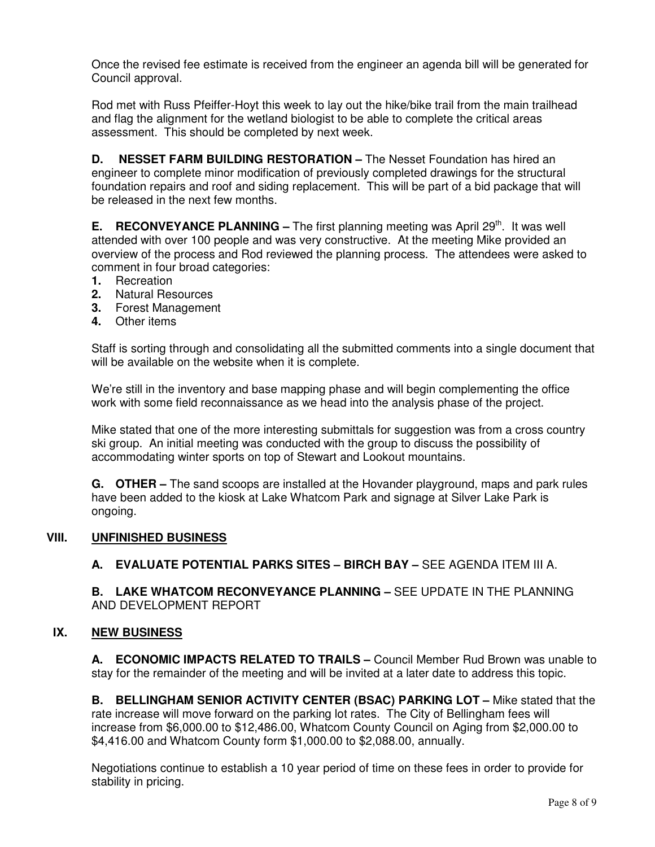Once the revised fee estimate is received from the engineer an agenda bill will be generated for Council approval.

Rod met with Russ Pfeiffer-Hoyt this week to lay out the hike/bike trail from the main trailhead and flag the alignment for the wetland biologist to be able to complete the critical areas assessment. This should be completed by next week.

**D.** NESSET FARM BUILDING RESTORATION - The Nesset Foundation has hired an engineer to complete minor modification of previously completed drawings for the structural foundation repairs and roof and siding replacement. This will be part of a bid package that will be released in the next few months.

**E. RECONVEYANCE PLANNING** – The first planning meeting was April 29<sup>th</sup>. It was well attended with over 100 people and was very constructive. At the meeting Mike provided an overview of the process and Rod reviewed the planning process. The attendees were asked to comment in four broad categories:

- **1.** Recreation
- **2.** Natural Resources
- **3.** Forest Management
- **4.** Other items

Staff is sorting through and consolidating all the submitted comments into a single document that will be available on the website when it is complete.

We're still in the inventory and base mapping phase and will begin complementing the office work with some field reconnaissance as we head into the analysis phase of the project.

Mike stated that one of the more interesting submittals for suggestion was from a cross country ski group. An initial meeting was conducted with the group to discuss the possibility of accommodating winter sports on top of Stewart and Lookout mountains.

**G. OTHER –** The sand scoops are installed at the Hovander playground, maps and park rules have been added to the kiosk at Lake Whatcom Park and signage at Silver Lake Park is ongoing.

### **VIII. UNFINISHED BUSINESS**

### **A. EVALUATE POTENTIAL PARKS SITES – BIRCH BAY –** SEE AGENDA ITEM III A.

**B. LAKE WHATCOM RECONVEYANCE PLANNING –** SEE UPDATE IN THE PLANNING AND DEVELOPMENT REPORT

#### **IX. NEW BUSINESS**

**A. ECONOMIC IMPACTS RELATED TO TRAILS –** Council Member Rud Brown was unable to stay for the remainder of the meeting and will be invited at a later date to address this topic.

**B. BELLINGHAM SENIOR ACTIVITY CENTER (BSAC) PARKING LOT –** Mike stated that the rate increase will move forward on the parking lot rates. The City of Bellingham fees will increase from \$6,000.00 to \$12,486.00, Whatcom County Council on Aging from \$2,000.00 to \$4,416.00 and Whatcom County form \$1,000.00 to \$2,088.00, annually.

Negotiations continue to establish a 10 year period of time on these fees in order to provide for stability in pricing.